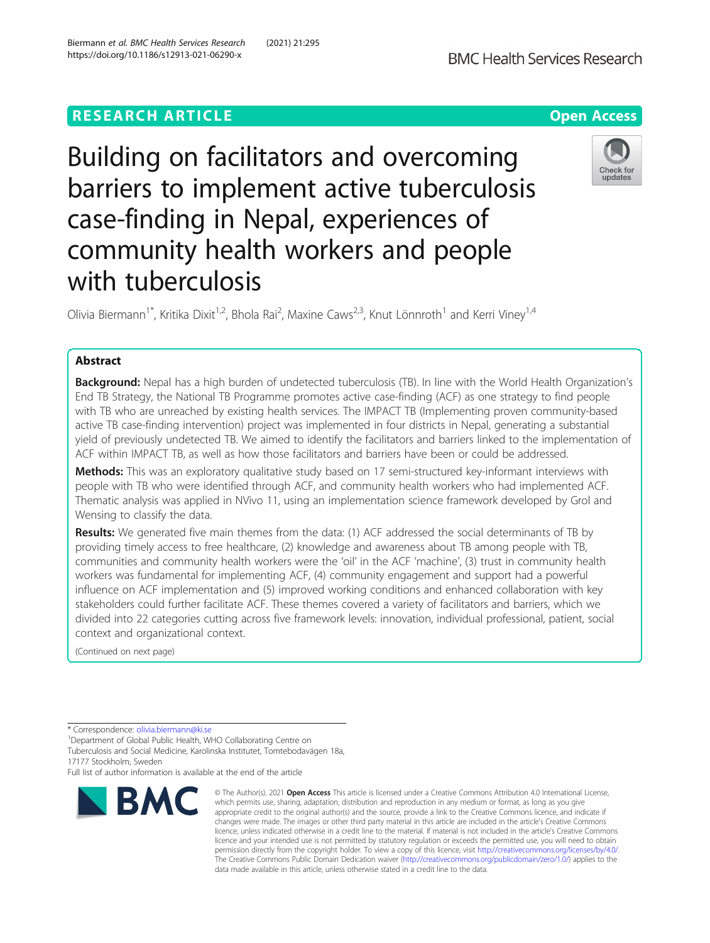# **RESEARCH ARTICLE Example 2014 12:30 The Contract of Contract ACCESS**

Building on facilitators and overcoming barriers to implement active tuberculosis case-finding in Nepal, experiences of community health workers and people with tuberculosis

Olivia Biermann<sup>1\*</sup>, Kritika Dixit<sup>1,2</sup>, Bhola Rai<sup>2</sup>, Maxine Caws<sup>2,3</sup>, Knut Lönnroth<sup>1</sup> and Kerri Viney<sup>1,4</sup>

# Abstract

Background: Nepal has a high burden of undetected tuberculosis (TB). In line with the World Health Organization's End TB Strategy, the National TB Programme promotes active case-finding (ACF) as one strategy to find people with TB who are unreached by existing health services. The IMPACT TB (Implementing proven community-based active TB case-finding intervention) project was implemented in four districts in Nepal, generating a substantial yield of previously undetected TB. We aimed to identify the facilitators and barriers linked to the implementation of ACF within IMPACT TB, as well as how those facilitators and barriers have been or could be addressed.

Methods: This was an exploratory qualitative study based on 17 semi-structured key-informant interviews with people with TB who were identified through ACF, and community health workers who had implemented ACF. Thematic analysis was applied in NVivo 11, using an implementation science framework developed by Grol and Wensing to classify the data.

Results: We generated five main themes from the data: (1) ACF addressed the social determinants of TB by providing timely access to free healthcare, (2) knowledge and awareness about TB among people with TB, communities and community health workers were the 'oil' in the ACF 'machine', (3) trust in community health workers was fundamental for implementing ACF, (4) community engagement and support had a powerful influence on ACF implementation and (5) improved working conditions and enhanced collaboration with key stakeholders could further facilitate ACF. These themes covered a variety of facilitators and barriers, which we divided into 22 categories cutting across five framework levels: innovation, individual professional, patient, social context and organizational context.

(Continued on next page)

**BMC** 

17177 Stockholm, Sweden

Full list of author information is available at the end of the article

#### © The Author(s), 2021 **Open Access** This article is licensed under a Creative Commons Attribution 4.0 International License, which permits use, sharing, adaptation, distribution and reproduction in any medium or format, as long as you give appropriate credit to the original author(s) and the source, provide a link to the Creative Commons licence, and indicate if changes were made. The images or other third party material in this article are included in the article's Creative Commons licence, unless indicated otherwise in a credit line to the material. If material is not included in the article's Creative Commons licence and your intended use is not permitted by statutory regulation or exceeds the permitted use, you will need to obtain permission directly from the copyright holder. To view a copy of this licence, visit [http://creativecommons.org/licenses/by/4.0/.](http://creativecommons.org/licenses/by/4.0/) The Creative Commons Public Domain Dedication waiver [\(http://creativecommons.org/publicdomain/zero/1.0/](http://creativecommons.org/publicdomain/zero/1.0/)) applies to the data made available in this article, unless otherwise stated in a credit line to the data.







<sup>\*</sup> Correspondence: [olivia.biermann@ki.se](mailto:olivia.biermann@ki.se) <sup>1</sup>

<sup>&</sup>lt;sup>1</sup>Department of Global Public Health, WHO Collaborating Centre on Tuberculosis and Social Medicine, Karolinska Institutet, Tomtebodavägen 18a,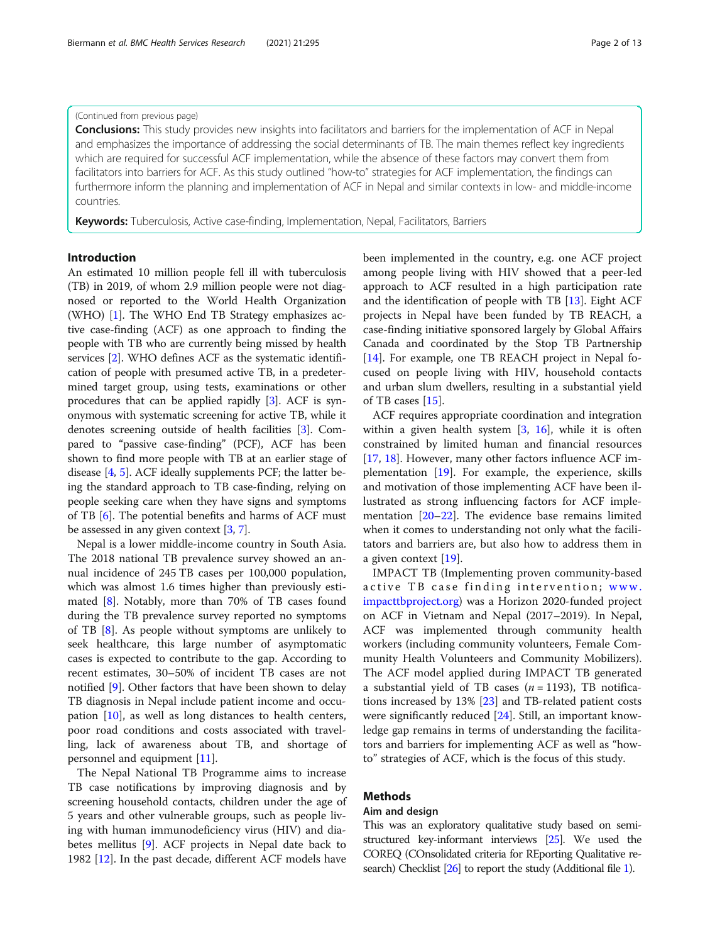### (Continued from previous page)

**Conclusions:** This study provides new insights into facilitators and barriers for the implementation of ACF in Nepal and emphasizes the importance of addressing the social determinants of TB. The main themes reflect key ingredients which are required for successful ACF implementation, while the absence of these factors may convert them from facilitators into barriers for ACF. As this study outlined "how-to" strategies for ACF implementation, the findings can furthermore inform the planning and implementation of ACF in Nepal and similar contexts in low- and middle-income countries.

Keywords: Tuberculosis, Active case-finding, Implementation, Nepal, Facilitators, Barriers

# Introduction

An estimated 10 million people fell ill with tuberculosis (TB) in 2019, of whom 2.9 million people were not diagnosed or reported to the World Health Organization (WHO) [[1](#page-11-0)]. The WHO End TB Strategy emphasizes active case-finding (ACF) as one approach to finding the people with TB who are currently being missed by health services [[2\]](#page-11-0). WHO defines ACF as the systematic identification of people with presumed active TB, in a predetermined target group, using tests, examinations or other procedures that can be applied rapidly [[3\]](#page-11-0). ACF is synonymous with systematic screening for active TB, while it denotes screening outside of health facilities [\[3](#page-11-0)]. Compared to "passive case-finding" (PCF), ACF has been shown to find more people with TB at an earlier stage of disease [[4](#page-11-0), [5](#page-11-0)]. ACF ideally supplements PCF; the latter being the standard approach to TB case-finding, relying on people seeking care when they have signs and symptoms of TB [\[6](#page-11-0)]. The potential benefits and harms of ACF must be assessed in any given context [\[3](#page-11-0), [7\]](#page-11-0).

Nepal is a lower middle-income country in South Asia. The 2018 national TB prevalence survey showed an annual incidence of 245 TB cases per 100,000 population, which was almost 1.6 times higher than previously estimated [[8\]](#page-11-0). Notably, more than 70% of TB cases found during the TB prevalence survey reported no symptoms of TB [\[8](#page-11-0)]. As people without symptoms are unlikely to seek healthcare, this large number of asymptomatic cases is expected to contribute to the gap. According to recent estimates, 30–50% of incident TB cases are not notified [\[9](#page-11-0)]. Other factors that have been shown to delay TB diagnosis in Nepal include patient income and occupation [[10\]](#page-11-0), as well as long distances to health centers, poor road conditions and costs associated with travelling, lack of awareness about TB, and shortage of personnel and equipment [[11](#page-11-0)].

The Nepal National TB Programme aims to increase TB case notifications by improving diagnosis and by screening household contacts, children under the age of 5 years and other vulnerable groups, such as people living with human immunodeficiency virus (HIV) and diabetes mellitus [\[9\]](#page-11-0). ACF projects in Nepal date back to 1982 [\[12](#page-11-0)]. In the past decade, different ACF models have

been implemented in the country, e.g. one ACF project among people living with HIV showed that a peer-led approach to ACF resulted in a high participation rate and the identification of people with TB  $[13]$ . Eight ACF projects in Nepal have been funded by TB REACH, a case-finding initiative sponsored largely by Global Affairs Canada and coordinated by the Stop TB Partnership [[14\]](#page-11-0). For example, one TB REACH project in Nepal focused on people living with HIV, household contacts and urban slum dwellers, resulting in a substantial yield of TB cases [[15\]](#page-11-0).

ACF requires appropriate coordination and integration within a given health system  $[3, 16]$  $[3, 16]$  $[3, 16]$ , while it is often constrained by limited human and financial resources [[17,](#page-11-0) [18\]](#page-11-0). However, many other factors influence ACF implementation [\[19](#page-11-0)]. For example, the experience, skills and motivation of those implementing ACF have been illustrated as strong influencing factors for ACF implementation [\[20](#page-11-0)–[22\]](#page-11-0). The evidence base remains limited when it comes to understanding not only what the facilitators and barriers are, but also how to address them in a given context [\[19\]](#page-11-0).

IMPACT TB (Implementing proven community-based active TB case finding intervention; [www.](http://www.impacttbproject.org) [impacttbproject.org](http://www.impacttbproject.org)) was a Horizon 2020-funded project on ACF in Vietnam and Nepal (2017–2019). In Nepal, ACF was implemented through community health workers (including community volunteers, Female Community Health Volunteers and Community Mobilizers). The ACF model applied during IMPACT TB generated a substantial yield of TB cases ( $n = 1193$ ), TB notifications increased by 13% [\[23](#page-11-0)] and TB-related patient costs were significantly reduced [\[24](#page-11-0)]. Still, an important knowledge gap remains in terms of understanding the facilitators and barriers for implementing ACF as well as "howto" strategies of ACF, which is the focus of this study.

# Methods

### Aim and design

This was an exploratory qualitative study based on semistructured key-informant interviews [\[25](#page-12-0)]. We used the COREQ (COnsolidated criteria for REporting Qualitative research) Checklist [\[26](#page-12-0)] to report the study (Additional file [1\)](#page-10-0).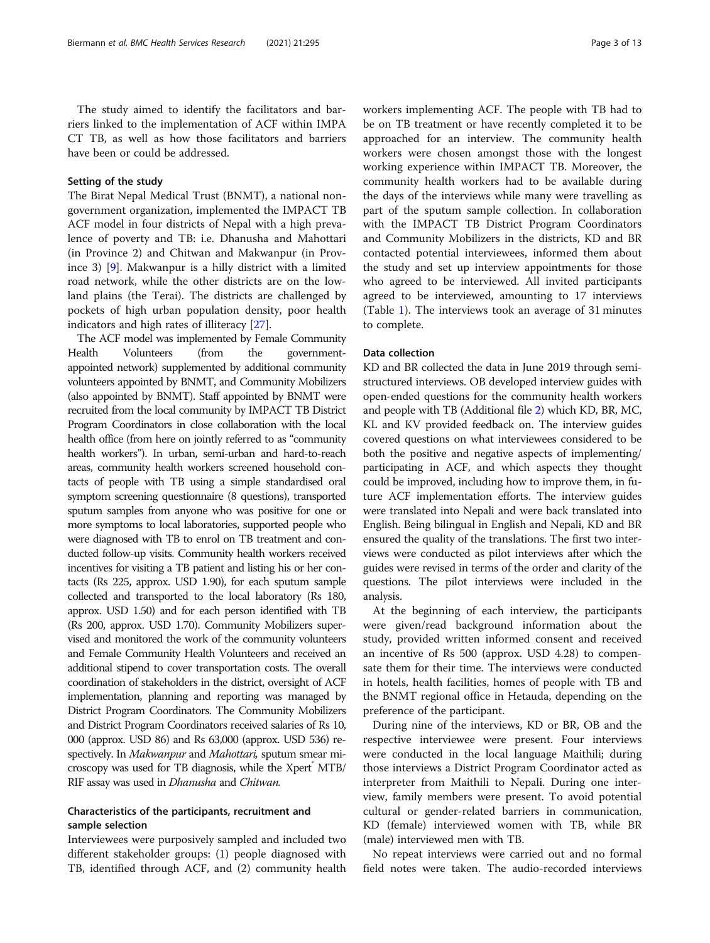The study aimed to identify the facilitators and barriers linked to the implementation of ACF within IMPA CT TB, as well as how those facilitators and barriers have been or could be addressed.

### Setting of the study

The Birat Nepal Medical Trust (BNMT), a national nongovernment organization, implemented the IMPACT TB ACF model in four districts of Nepal with a high prevalence of poverty and TB: i.e. Dhanusha and Mahottari (in Province 2) and Chitwan and Makwanpur (in Province 3) [\[9](#page-11-0)]. Makwanpur is a hilly district with a limited road network, while the other districts are on the lowland plains (the Terai). The districts are challenged by pockets of high urban population density, poor health indicators and high rates of illiteracy [[27\]](#page-12-0).

The ACF model was implemented by Female Community Health Volunteers (from the governmentappointed network) supplemented by additional community volunteers appointed by BNMT, and Community Mobilizers (also appointed by BNMT). Staff appointed by BNMT were recruited from the local community by IMPACT TB District Program Coordinators in close collaboration with the local health office (from here on jointly referred to as "community health workers"). In urban, semi-urban and hard-to-reach areas, community health workers screened household contacts of people with TB using a simple standardised oral symptom screening questionnaire (8 questions), transported sputum samples from anyone who was positive for one or more symptoms to local laboratories, supported people who were diagnosed with TB to enrol on TB treatment and conducted follow-up visits. Community health workers received incentives for visiting a TB patient and listing his or her contacts (Rs 225, approx. USD 1.90), for each sputum sample collected and transported to the local laboratory (Rs 180, approx. USD 1.50) and for each person identified with TB (Rs 200, approx. USD 1.70). Community Mobilizers supervised and monitored the work of the community volunteers and Female Community Health Volunteers and received an additional stipend to cover transportation costs. The overall coordination of stakeholders in the district, oversight of ACF implementation, planning and reporting was managed by District Program Coordinators. The Community Mobilizers and District Program Coordinators received salaries of Rs 10, 000 (approx. USD 86) and Rs 63,000 (approx. USD 536) respectively. In Makwanpur and Mahottari, sputum smear microscopy was used for TB diagnosis, while the Xpert® MTB/ RIF assay was used in *Dhanusha* and *Chitwan*.

# Characteristics of the participants, recruitment and sample selection

Interviewees were purposively sampled and included two different stakeholder groups: (1) people diagnosed with TB, identified through ACF, and (2) community health

workers implementing ACF. The people with TB had to be on TB treatment or have recently completed it to be approached for an interview. The community health workers were chosen amongst those with the longest working experience within IMPACT TB. Moreover, the community health workers had to be available during the days of the interviews while many were travelling as part of the sputum sample collection. In collaboration with the IMPACT TB District Program Coordinators and Community Mobilizers in the districts, KD and BR contacted potential interviewees, informed them about the study and set up interview appointments for those who agreed to be interviewed. All invited participants agreed to be interviewed, amounting to 17 interviews (Table [1](#page-3-0)). The interviews took an average of 31 minutes to complete.

## Data collection

KD and BR collected the data in June 2019 through semistructured interviews. OB developed interview guides with open-ended questions for the community health workers and people with TB (Additional file [2\)](#page-10-0) which KD, BR, MC, KL and KV provided feedback on. The interview guides covered questions on what interviewees considered to be both the positive and negative aspects of implementing/ participating in ACF, and which aspects they thought could be improved, including how to improve them, in future ACF implementation efforts. The interview guides were translated into Nepali and were back translated into English. Being bilingual in English and Nepali, KD and BR ensured the quality of the translations. The first two interviews were conducted as pilot interviews after which the guides were revised in terms of the order and clarity of the questions. The pilot interviews were included in the analysis.

At the beginning of each interview, the participants were given/read background information about the study, provided written informed consent and received an incentive of Rs 500 (approx. USD 4.28) to compensate them for their time. The interviews were conducted in hotels, health facilities, homes of people with TB and the BNMT regional office in Hetauda, depending on the preference of the participant.

During nine of the interviews, KD or BR, OB and the respective interviewee were present. Four interviews were conducted in the local language Maithili; during those interviews a District Program Coordinator acted as interpreter from Maithili to Nepali. During one interview, family members were present. To avoid potential cultural or gender-related barriers in communication, KD (female) interviewed women with TB, while BR (male) interviewed men with TB.

No repeat interviews were carried out and no formal field notes were taken. The audio-recorded interviews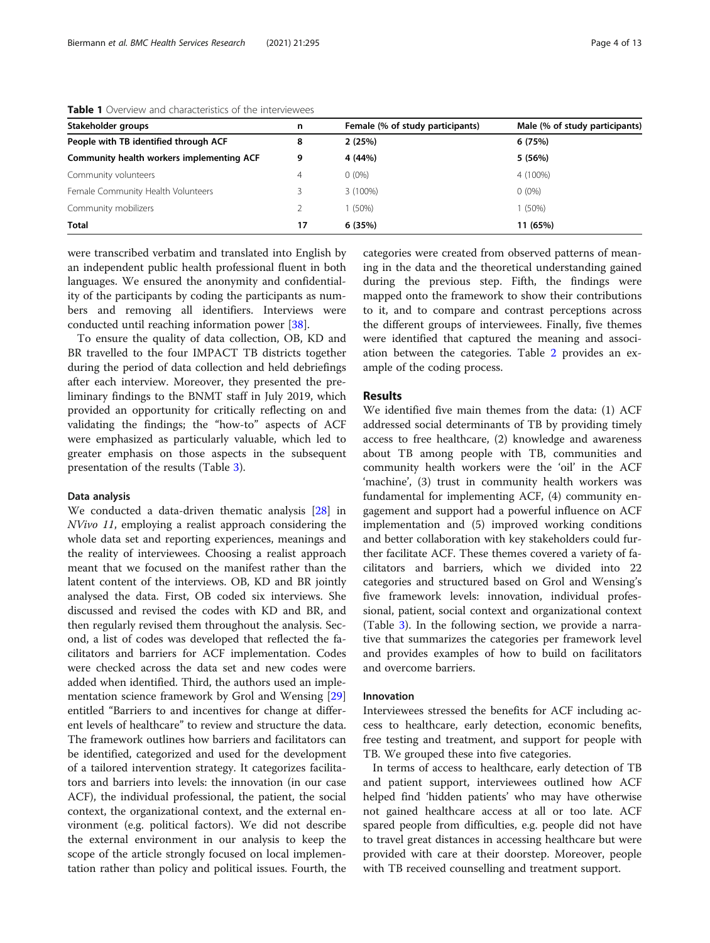| Stakeholder groups                        | n  | Female (% of study participants) | Male (% of study participants)<br>6 (75%) |  |
|-------------------------------------------|----|----------------------------------|-------------------------------------------|--|
| People with TB identified through ACF     | 8  | 2(25%)                           |                                           |  |
| Community health workers implementing ACF | 9  | 4 (44%)                          | 5 (56%)                                   |  |
| Community volunteers                      | 4  | $0(0\%)$                         | 4 (100%)                                  |  |
| Female Community Health Volunteers        |    | 3 (100%)                         | $0(0\%)$                                  |  |
| Community mobilizers                      |    | $(50\%)$                         | 1 (50%)                                   |  |
| <b>Total</b>                              | 17 | 6 (35%)                          | 11 (65%)                                  |  |

### <span id="page-3-0"></span>Table 1 Overview and characteristics of the interviewees

were transcribed verbatim and translated into English by an independent public health professional fluent in both languages. We ensured the anonymity and confidentiality of the participants by coding the participants as numbers and removing all identifiers. Interviews were conducted until reaching information power [[38\]](#page-12-0).

To ensure the quality of data collection, OB, KD and BR travelled to the four IMPACT TB districts together during the period of data collection and held debriefings after each interview. Moreover, they presented the preliminary findings to the BNMT staff in July 2019, which provided an opportunity for critically reflecting on and validating the findings; the "how-to" aspects of ACF were emphasized as particularly valuable, which led to greater emphasis on those aspects in the subsequent presentation of the results (Table [3\)](#page-5-0).

### Data analysis

We conducted a data-driven thematic analysis [[28](#page-12-0)] in NVivo 11, employing a realist approach considering the whole data set and reporting experiences, meanings and the reality of interviewees. Choosing a realist approach meant that we focused on the manifest rather than the latent content of the interviews. OB, KD and BR jointly analysed the data. First, OB coded six interviews. She discussed and revised the codes with KD and BR, and then regularly revised them throughout the analysis. Second, a list of codes was developed that reflected the facilitators and barriers for ACF implementation. Codes were checked across the data set and new codes were added when identified. Third, the authors used an implementation science framework by Grol and Wensing [[29](#page-12-0)] entitled "Barriers to and incentives for change at different levels of healthcare" to review and structure the data. The framework outlines how barriers and facilitators can be identified, categorized and used for the development of a tailored intervention strategy. It categorizes facilitators and barriers into levels: the innovation (in our case ACF), the individual professional, the patient, the social context, the organizational context, and the external environment (e.g. political factors). We did not describe the external environment in our analysis to keep the scope of the article strongly focused on local implementation rather than policy and political issues. Fourth, the

categories were created from observed patterns of meaning in the data and the theoretical understanding gained during the previous step. Fifth, the findings were mapped onto the framework to show their contributions to it, and to compare and contrast perceptions across the different groups of interviewees. Finally, five themes were identified that captured the meaning and association between the categories. Table [2](#page-4-0) provides an example of the coding process.

# Results

We identified five main themes from the data: (1) ACF addressed social determinants of TB by providing timely access to free healthcare, (2) knowledge and awareness about TB among people with TB, communities and community health workers were the 'oil' in the ACF 'machine', (3) trust in community health workers was fundamental for implementing ACF, (4) community engagement and support had a powerful influence on ACF implementation and (5) improved working conditions and better collaboration with key stakeholders could further facilitate ACF. These themes covered a variety of facilitators and barriers, which we divided into 22 categories and structured based on Grol and Wensing's five framework levels: innovation, individual professional, patient, social context and organizational context (Table [3\)](#page-5-0). In the following section, we provide a narrative that summarizes the categories per framework level and provides examples of how to build on facilitators and overcome barriers.

### Innovation

Interviewees stressed the benefits for ACF including access to healthcare, early detection, economic benefits, free testing and treatment, and support for people with TB. We grouped these into five categories.

In terms of access to healthcare, early detection of TB and patient support, interviewees outlined how ACF helped find 'hidden patients' who may have otherwise not gained healthcare access at all or too late. ACF spared people from difficulties, e.g. people did not have to travel great distances in accessing healthcare but were provided with care at their doorstep. Moreover, people with TB received counselling and treatment support.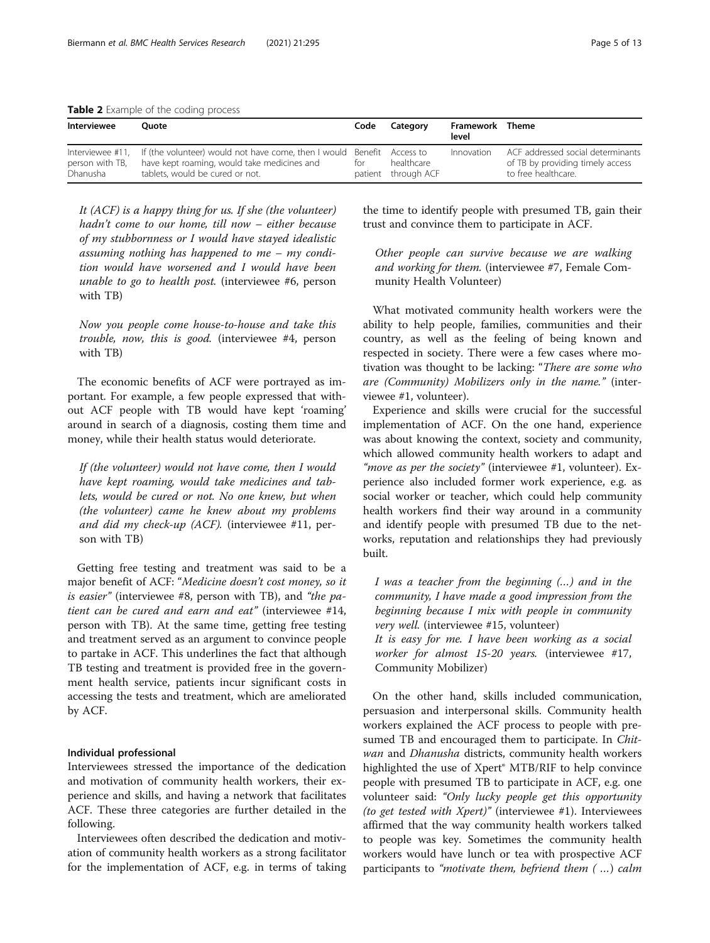<span id="page-4-0"></span>Table 2 Example of the coding process

| Interviewee                 | Ouote                                                                                                                                                                            | Code | Category                          | Framework Theme<br>level |                                                                                              |
|-----------------------------|----------------------------------------------------------------------------------------------------------------------------------------------------------------------------------|------|-----------------------------------|--------------------------|----------------------------------------------------------------------------------------------|
| person with TB,<br>Dhanusha | Interviewee #11, If (the volunteer) would not have come, then I would Benefit Access to<br>have kept roaming, would take medicines and<br>tor<br>tablets, would be cured or not. |      | healthcare<br>patient through ACF | Innovation               | ACF addressed social determinants<br>of TB by providing timely access<br>to free healthcare. |

It (ACF) is a happy thing for us. If she (the volunteer) hadn't come to our home, till now – either because of my stubbornness or I would have stayed idealistic assuming nothing has happened to me – my condition would have worsened and I would have been unable to go to health post. (interviewee #6, person with TB)

Now you people come house-to-house and take this trouble, now, this is good. (interviewee #4, person with TB)

The economic benefits of ACF were portrayed as important. For example, a few people expressed that without ACF people with TB would have kept 'roaming' around in search of a diagnosis, costing them time and money, while their health status would deteriorate.

If (the volunteer) would not have come, then I would have kept roaming, would take medicines and tablets, would be cured or not. No one knew, but when (the volunteer) came he knew about my problems and did my check-up (ACF). (interviewee #11, person with TB)

Getting free testing and treatment was said to be a major benefit of ACF: "Medicine doesn't cost money, so it is easier" (interviewee #8, person with TB), and "the patient can be cured and earn and eat" (interviewee #14, person with TB). At the same time, getting free testing and treatment served as an argument to convince people to partake in ACF. This underlines the fact that although TB testing and treatment is provided free in the government health service, patients incur significant costs in accessing the tests and treatment, which are ameliorated by ACF.

# Individual professional

Interviewees stressed the importance of the dedication and motivation of community health workers, their experience and skills, and having a network that facilitates ACF. These three categories are further detailed in the following.

Interviewees often described the dedication and motivation of community health workers as a strong facilitator for the implementation of ACF, e.g. in terms of taking

the time to identify people with presumed TB, gain their trust and convince them to participate in ACF.

Other people can survive because we are walking and working for them. (interviewee #7, Female Community Health Volunteer)

What motivated community health workers were the ability to help people, families, communities and their country, as well as the feeling of being known and respected in society. There were a few cases where motivation was thought to be lacking: "There are some who are (Community) Mobilizers only in the name." (interviewee #1, volunteer).

Experience and skills were crucial for the successful implementation of ACF. On the one hand, experience was about knowing the context, society and community, which allowed community health workers to adapt and "move as per the society" (interviewee  $#1$ , volunteer). Experience also included former work experience, e.g. as social worker or teacher, which could help community health workers find their way around in a community and identify people with presumed TB due to the networks, reputation and relationships they had previously built.

I was a teacher from the beginning (…) and in the community, I have made a good impression from the beginning because I mix with people in community very well. (interviewee #15, volunteer)

It is easy for me. I have been working as a social worker for almost 15-20 years. (interviewee #17, Community Mobilizer)

On the other hand, skills included communication, persuasion and interpersonal skills. Community health workers explained the ACF process to people with presumed TB and encouraged them to participate. In Chitwan and Dhanusha districts, community health workers highlighted the use of Xpert® MTB/RIF to help convince people with presumed TB to participate in ACF, e.g. one volunteer said: "Only lucky people get this opportunity (to get tested with Xpert)" (interviewee #1). Interviewees affirmed that the way community health workers talked to people was key. Sometimes the community health workers would have lunch or tea with prospective ACF participants to "motivate them, befriend them ( …) calm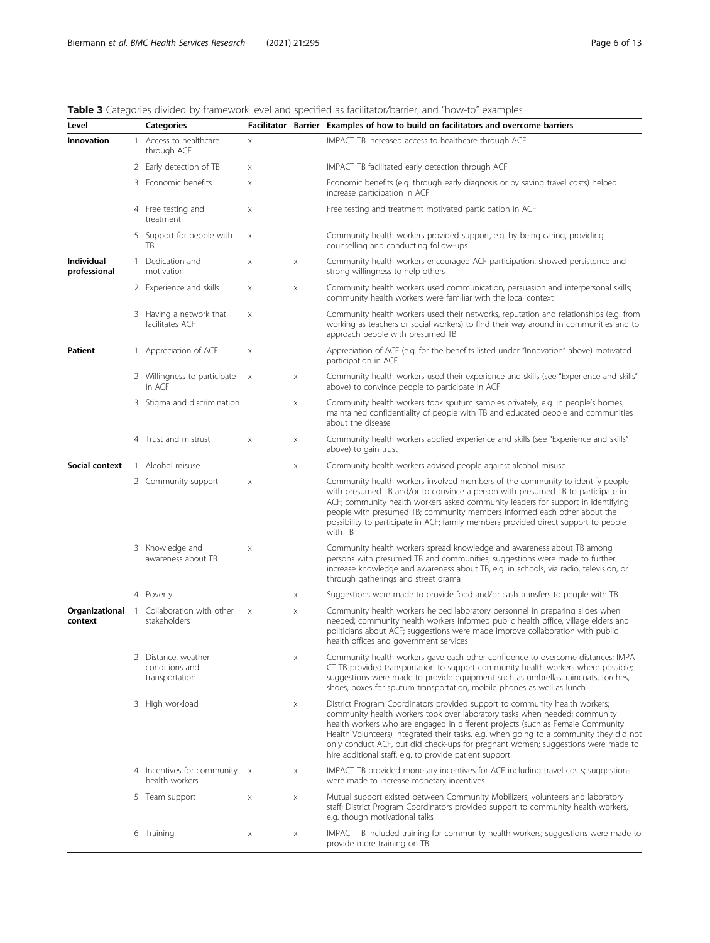# <span id="page-5-0"></span>Table 3 Categories divided by framework level and specified as facilitator/barrier, and "how-to" examples

| Level                      | <b>Categories</b>                                                |                           |   | Facilitator Barrier Examples of how to build on facilitators and overcome barriers                                                                                                                                                                                                                                                                                                                                                                                                  |
|----------------------------|------------------------------------------------------------------|---------------------------|---|-------------------------------------------------------------------------------------------------------------------------------------------------------------------------------------------------------------------------------------------------------------------------------------------------------------------------------------------------------------------------------------------------------------------------------------------------------------------------------------|
| Innovation                 | 1 Access to healthcare<br>through ACF                            | X                         |   | IMPACT TB increased access to healthcare through ACF                                                                                                                                                                                                                                                                                                                                                                                                                                |
|                            | 2 Early detection of TB                                          | X                         |   | IMPACT TB facilitated early detection through ACF                                                                                                                                                                                                                                                                                                                                                                                                                                   |
|                            | 3 Economic benefits                                              | X                         |   | Economic benefits (e.g. through early diagnosis or by saving travel costs) helped<br>increase participation in ACF                                                                                                                                                                                                                                                                                                                                                                  |
|                            | 4 Free testing and<br>treatment                                  | X                         |   | Free testing and treatment motivated participation in ACF                                                                                                                                                                                                                                                                                                                                                                                                                           |
|                            | 5 Support for people with<br>TB                                  | X                         |   | Community health workers provided support, e.g. by being caring, providing<br>counselling and conducting follow-ups                                                                                                                                                                                                                                                                                                                                                                 |
| Individual<br>professional | 1 Dedication and<br>motivation                                   | X                         | X | Community health workers encouraged ACF participation, showed persistence and<br>strong willingness to help others                                                                                                                                                                                                                                                                                                                                                                  |
|                            | 2 Experience and skills                                          | X                         | X | Community health workers used communication, persuasion and interpersonal skills;<br>community health workers were familiar with the local context                                                                                                                                                                                                                                                                                                                                  |
|                            | 3 Having a network that<br>facilitates ACF                       | X                         |   | Community health workers used their networks, reputation and relationships (e.g. from<br>working as teachers or social workers) to find their way around in communities and to<br>approach people with presumed TB                                                                                                                                                                                                                                                                  |
| <b>Patient</b>             | 1 Appreciation of ACF                                            | X                         |   | Appreciation of ACF (e.g. for the benefits listed under "Innovation" above) motivated<br>participation in ACF                                                                                                                                                                                                                                                                                                                                                                       |
|                            | 2 Willingness to participate<br>in ACF                           | $\boldsymbol{\mathsf{X}}$ | X | Community health workers used their experience and skills (see "Experience and skills"<br>above) to convince people to participate in ACF                                                                                                                                                                                                                                                                                                                                           |
|                            | 3 Stigma and discrimination                                      |                           | X | Community health workers took sputum samples privately, e.g. in people's homes,<br>maintained confidentiality of people with TB and educated people and communities<br>about the disease                                                                                                                                                                                                                                                                                            |
|                            | 4 Trust and mistrust                                             | X                         | X | Community health workers applied experience and skills (see "Experience and skills"<br>above) to gain trust                                                                                                                                                                                                                                                                                                                                                                         |
| Social context             | 1 Alcohol misuse                                                 |                           | X | Community health workers advised people against alcohol misuse                                                                                                                                                                                                                                                                                                                                                                                                                      |
|                            | 2 Community support                                              | X                         |   | Community health workers involved members of the community to identify people<br>with presumed TB and/or to convince a person with presumed TB to participate in<br>ACF; community health workers asked community leaders for support in identifying<br>people with presumed TB; community members informed each other about the<br>possibility to participate in ACF; family members provided direct support to people<br>with TB                                                  |
|                            | 3 Knowledge and<br>awareness about TB                            | X                         |   | Community health workers spread knowledge and awareness about TB among<br>persons with presumed TB and communities; suggestions were made to further<br>increase knowledge and awareness about TB, e.g. in schools, via radio, television, or<br>through gatherings and street drama                                                                                                                                                                                                |
|                            | 4 Poverty                                                        |                           | X | Suggestions were made to provide food and/or cash transfers to people with TB                                                                                                                                                                                                                                                                                                                                                                                                       |
| context                    | <b>Organizational</b> 1 Collaboration with other<br>stakeholders | $\boldsymbol{\mathsf{X}}$ | X | Community health workers helped laboratory personnel in preparing slides when<br>needed; community health workers informed public health office, village elders and<br>politicians about ACF; suggestions were made improve collaboration with public<br>health offices and government services                                                                                                                                                                                     |
|                            | 2 Distance, weather<br>conditions and<br>transportation          |                           | X | Community health workers gave each other confidence to overcome distances; IMPA<br>CT TB provided transportation to support community health workers where possible;<br>suggestions were made to provide equipment such as umbrellas, raincoats, torches,<br>shoes, boxes for sputum transportation, mobile phones as well as lunch                                                                                                                                                 |
|                            | 3 High workload                                                  |                           | X | District Program Coordinators provided support to community health workers;<br>community health workers took over laboratory tasks when needed; community<br>health workers who are engaged in different projects (such as Female Community<br>Health Volunteers) integrated their tasks, e.g. when going to a community they did not<br>only conduct ACF, but did check-ups for pregnant women; suggestions were made to<br>hire additional staff, e.g. to provide patient support |
|                            | 4 Incentives for community x<br>health workers                   |                           | X | IMPACT TB provided monetary incentives for ACF including travel costs; suggestions<br>were made to increase monetary incentives                                                                                                                                                                                                                                                                                                                                                     |
|                            | 5 Team support                                                   | X                         | X | Mutual support existed between Community Mobilizers, volunteers and laboratory<br>staff; District Program Coordinators provided support to community health workers,<br>e.g. though motivational talks                                                                                                                                                                                                                                                                              |
|                            | 6 Training                                                       | X                         | X | IMPACT TB included training for community health workers; suggestions were made to<br>provide more training on TB                                                                                                                                                                                                                                                                                                                                                                   |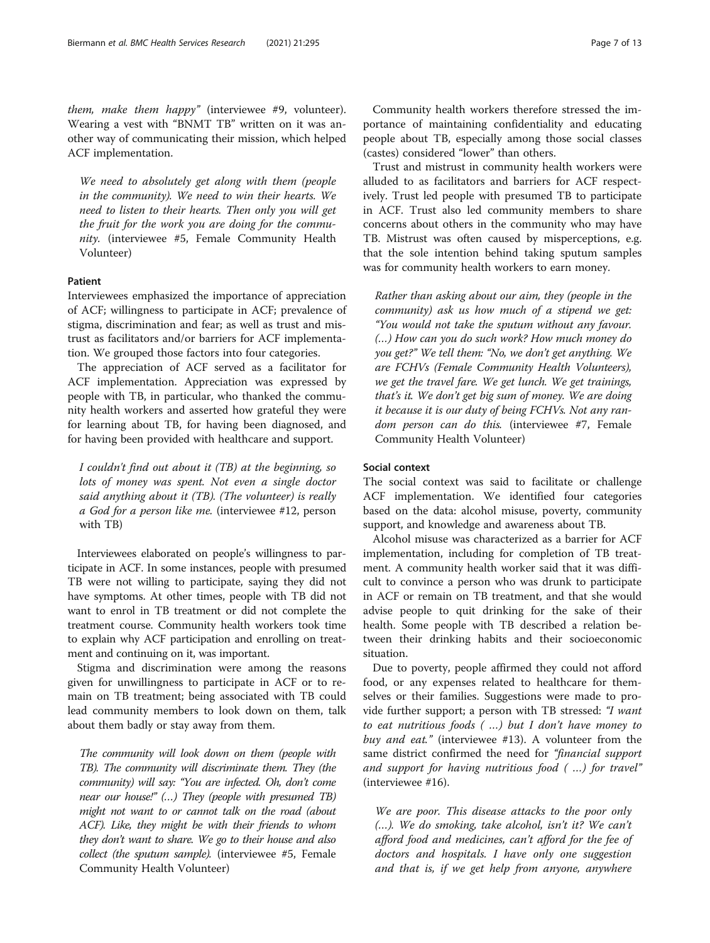them, make them happy" (interviewee #9, volunteer). Wearing a vest with "BNMT TB" written on it was another way of communicating their mission, which helped ACF implementation.

We need to absolutely get along with them (people in the community). We need to win their hearts. We need to listen to their hearts. Then only you will get the fruit for the work you are doing for the community. (interviewee #5, Female Community Health Volunteer)

### Patient

Interviewees emphasized the importance of appreciation of ACF; willingness to participate in ACF; prevalence of stigma, discrimination and fear; as well as trust and mistrust as facilitators and/or barriers for ACF implementation. We grouped those factors into four categories.

The appreciation of ACF served as a facilitator for ACF implementation. Appreciation was expressed by people with TB, in particular, who thanked the community health workers and asserted how grateful they were for learning about TB, for having been diagnosed, and for having been provided with healthcare and support.

I couldn't find out about it (TB) at the beginning, so lots of money was spent. Not even a single doctor said anything about it (TB). (The volunteer) is really a God for a person like me. (interviewee #12, person with TB)

Interviewees elaborated on people's willingness to participate in ACF. In some instances, people with presumed TB were not willing to participate, saying they did not have symptoms. At other times, people with TB did not want to enrol in TB treatment or did not complete the treatment course. Community health workers took time to explain why ACF participation and enrolling on treatment and continuing on it, was important.

Stigma and discrimination were among the reasons given for unwillingness to participate in ACF or to remain on TB treatment; being associated with TB could lead community members to look down on them, talk about them badly or stay away from them.

The community will look down on them (people with TB). The community will discriminate them. They (the community) will say: "You are infected. Oh, don't come near our house!" (…) They (people with presumed TB) might not want to or cannot talk on the road (about ACF). Like, they might be with their friends to whom they don't want to share. We go to their house and also collect (the sputum sample). (interviewee #5, Female Community Health Volunteer)

Community health workers therefore stressed the importance of maintaining confidentiality and educating people about TB, especially among those social classes (castes) considered "lower" than others.

Trust and mistrust in community health workers were alluded to as facilitators and barriers for ACF respectively. Trust led people with presumed TB to participate in ACF. Trust also led community members to share concerns about others in the community who may have TB. Mistrust was often caused by misperceptions, e.g. that the sole intention behind taking sputum samples was for community health workers to earn money.

Rather than asking about our aim, they (people in the community) ask us how much of a stipend we get: "You would not take the sputum without any favour. (…) How can you do such work? How much money do you get?" We tell them: "No, we don't get anything. We are FCHVs (Female Community Health Volunteers), we get the travel fare. We get lunch. We get trainings, that's it. We don't get big sum of money. We are doing it because it is our duty of being FCHVs. Not any random person can do this. (interviewee #7, Female Community Health Volunteer)

# Social context

The social context was said to facilitate or challenge ACF implementation. We identified four categories based on the data: alcohol misuse, poverty, community support, and knowledge and awareness about TB.

Alcohol misuse was characterized as a barrier for ACF implementation, including for completion of TB treatment. A community health worker said that it was difficult to convince a person who was drunk to participate in ACF or remain on TB treatment, and that she would advise people to quit drinking for the sake of their health. Some people with TB described a relation between their drinking habits and their socioeconomic situation.

Due to poverty, people affirmed they could not afford food, or any expenses related to healthcare for themselves or their families. Suggestions were made to provide further support; a person with TB stressed: "I want to eat nutritious foods ( …) but I don't have money to buy and eat." (interviewee #13). A volunteer from the same district confirmed the need for "financial support and support for having nutritious food ( …) for travel" (interviewee #16).

We are poor. This disease attacks to the poor only (…). We do smoking, take alcohol, isn't it? We can't afford food and medicines, can't afford for the fee of doctors and hospitals. I have only one suggestion and that is, if we get help from anyone, anywhere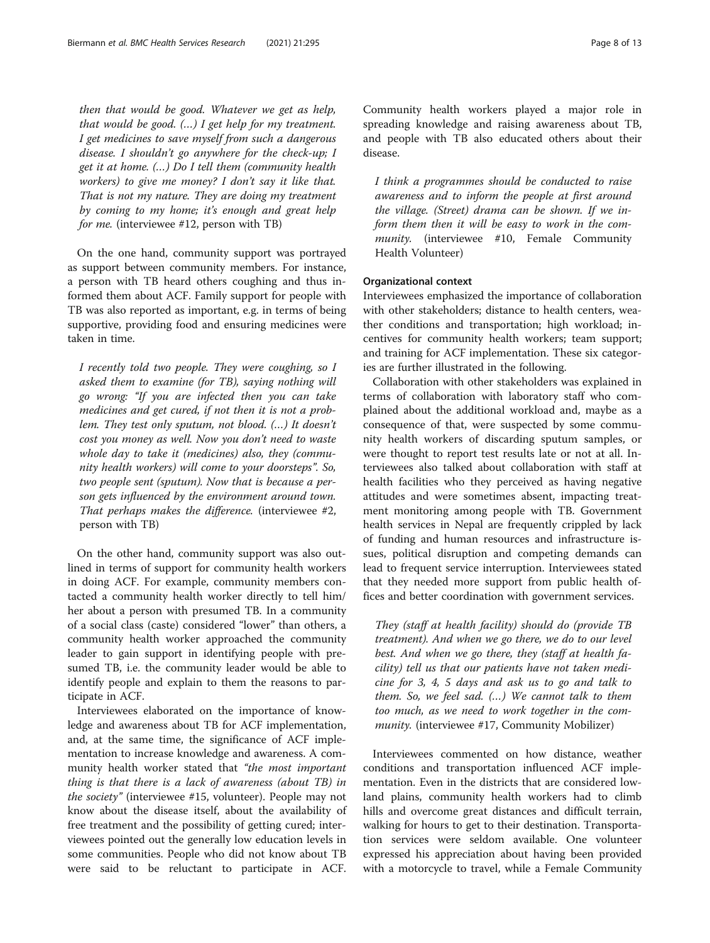then that would be good. Whatever we get as help, that would be good.  $(...)$  I get help for my treatment. I get medicines to save myself from such a dangerous disease. I shouldn't go anywhere for the check-up; I get it at home. (…) Do I tell them (community health workers) to give me money? I don't say it like that. That is not my nature. They are doing my treatment by coming to my home; it's enough and great help for me. (interviewee #12, person with TB)

On the one hand, community support was portrayed as support between community members. For instance, a person with TB heard others coughing and thus informed them about ACF. Family support for people with TB was also reported as important, e.g. in terms of being supportive, providing food and ensuring medicines were taken in time.

I recently told two people. They were coughing, so I asked them to examine (for TB), saying nothing will go wrong: "If you are infected then you can take medicines and get cured, if not then it is not a problem. They test only sputum, not blood. (…) It doesn't cost you money as well. Now you don't need to waste whole day to take it (medicines) also, they (community health workers) will come to your doorsteps". So, two people sent (sputum). Now that is because a person gets influenced by the environment around town. That perhaps makes the difference. (interviewee #2, person with TB)

On the other hand, community support was also outlined in terms of support for community health workers in doing ACF. For example, community members contacted a community health worker directly to tell him/ her about a person with presumed TB. In a community of a social class (caste) considered "lower" than others, a community health worker approached the community leader to gain support in identifying people with presumed TB, i.e. the community leader would be able to identify people and explain to them the reasons to participate in ACF.

Interviewees elaborated on the importance of knowledge and awareness about TB for ACF implementation, and, at the same time, the significance of ACF implementation to increase knowledge and awareness. A community health worker stated that "the most important thing is that there is a lack of awareness (about TB) in the society" (interviewee #15, volunteer). People may not know about the disease itself, about the availability of free treatment and the possibility of getting cured; interviewees pointed out the generally low education levels in some communities. People who did not know about TB were said to be reluctant to participate in ACF.

Community health workers played a major role in spreading knowledge and raising awareness about TB, and people with TB also educated others about their disease.

I think a programmes should be conducted to raise awareness and to inform the people at first around the village. (Street) drama can be shown. If we inform them then it will be easy to work in the community. (interviewee #10, Female Community Health Volunteer)

# Organizational context

Interviewees emphasized the importance of collaboration with other stakeholders; distance to health centers, weather conditions and transportation; high workload; incentives for community health workers; team support; and training for ACF implementation. These six categories are further illustrated in the following.

Collaboration with other stakeholders was explained in terms of collaboration with laboratory staff who complained about the additional workload and, maybe as a consequence of that, were suspected by some community health workers of discarding sputum samples, or were thought to report test results late or not at all. Interviewees also talked about collaboration with staff at health facilities who they perceived as having negative attitudes and were sometimes absent, impacting treatment monitoring among people with TB. Government health services in Nepal are frequently crippled by lack of funding and human resources and infrastructure issues, political disruption and competing demands can lead to frequent service interruption. Interviewees stated that they needed more support from public health offices and better coordination with government services.

They (staff at health facility) should do (provide TB treatment). And when we go there, we do to our level best. And when we go there, they (staff at health facility) tell us that our patients have not taken medicine for 3, 4, 5 days and ask us to go and talk to them. So, we feel sad. (…) We cannot talk to them too much, as we need to work together in the community. (interviewee #17, Community Mobilizer)

Interviewees commented on how distance, weather conditions and transportation influenced ACF implementation. Even in the districts that are considered lowland plains, community health workers had to climb hills and overcome great distances and difficult terrain, walking for hours to get to their destination. Transportation services were seldom available. One volunteer expressed his appreciation about having been provided with a motorcycle to travel, while a Female Community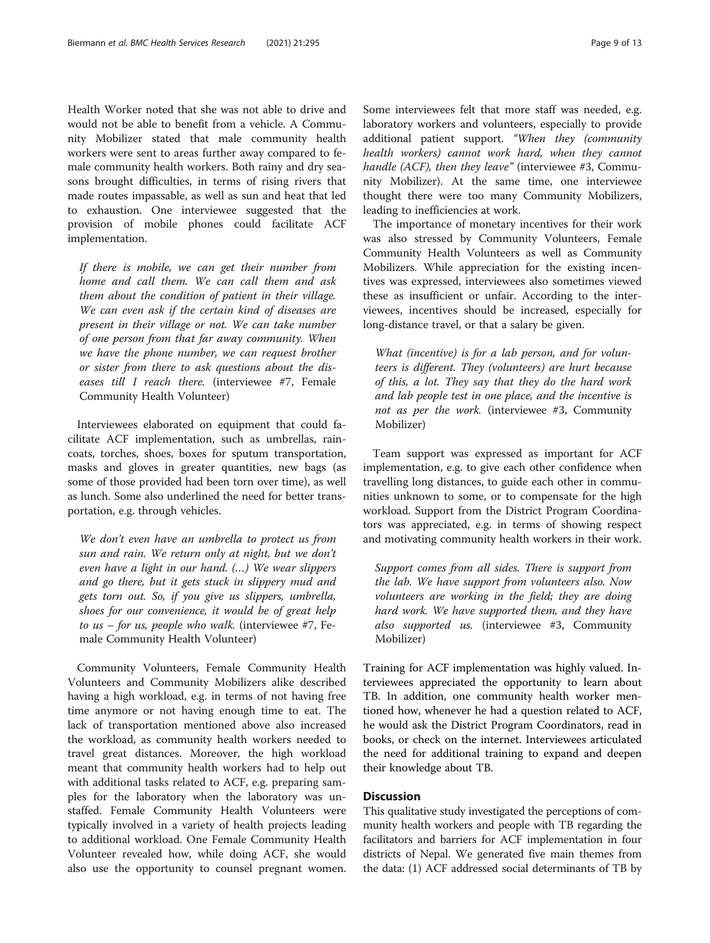Health Worker noted that she was not able to drive and would not be able to benefit from a vehicle. A Community Mobilizer stated that male community health workers were sent to areas further away compared to female community health workers. Both rainy and dry seasons brought difficulties, in terms of rising rivers that made routes impassable, as well as sun and heat that led to exhaustion. One interviewee suggested that the provision of mobile phones could facilitate ACF implementation.

If there is mobile, we can get their number from home and call them. We can call them and ask them about the condition of patient in their village. We can even ask if the certain kind of diseases are present in their village or not. We can take number of one person from that far away community. When we have the phone number, we can request brother or sister from there to ask questions about the diseases till I reach there. (interviewee #7, Female Community Health Volunteer)

Interviewees elaborated on equipment that could facilitate ACF implementation, such as umbrellas, raincoats, torches, shoes, boxes for sputum transportation, masks and gloves in greater quantities, new bags (as some of those provided had been torn over time), as well as lunch. Some also underlined the need for better transportation, e.g. through vehicles.

We don't even have an umbrella to protect us from sun and rain. We return only at night, but we don't even have a light in our hand. (…) We wear slippers and go there, but it gets stuck in slippery mud and gets torn out. So, if you give us slippers, umbrella, shoes for our convenience, it would be of great help to  $us$  – for us, people who walk. (interviewee #7, Female Community Health Volunteer)

Community Volunteers, Female Community Health Volunteers and Community Mobilizers alike described having a high workload, e.g. in terms of not having free time anymore or not having enough time to eat. The lack of transportation mentioned above also increased the workload, as community health workers needed to travel great distances. Moreover, the high workload meant that community health workers had to help out with additional tasks related to ACF, e.g. preparing samples for the laboratory when the laboratory was unstaffed. Female Community Health Volunteers were typically involved in a variety of health projects leading to additional workload. One Female Community Health Volunteer revealed how, while doing ACF, she would also use the opportunity to counsel pregnant women.

Some interviewees felt that more staff was needed, e.g. laboratory workers and volunteers, especially to provide additional patient support. "When they (community health workers) cannot work hard, when they cannot handle (ACF), then they leave" (interviewee #3, Community Mobilizer). At the same time, one interviewee thought there were too many Community Mobilizers, leading to inefficiencies at work.

The importance of monetary incentives for their work was also stressed by Community Volunteers, Female Community Health Volunteers as well as Community Mobilizers. While appreciation for the existing incentives was expressed, interviewees also sometimes viewed these as insufficient or unfair. According to the interviewees, incentives should be increased, especially for long-distance travel, or that a salary be given.

What (incentive) is for a lab person, and for volunteers is different. They (volunteers) are hurt because of this, a lot. They say that they do the hard work and lab people test in one place, and the incentive is not as per the work. (interviewee #3, Community Mobilizer)

Team support was expressed as important for ACF implementation, e.g. to give each other confidence when travelling long distances, to guide each other in communities unknown to some, or to compensate for the high workload. Support from the District Program Coordinators was appreciated, e.g. in terms of showing respect and motivating community health workers in their work.

Support comes from all sides. There is support from the lab. We have support from volunteers also. Now volunteers are working in the field; they are doing hard work. We have supported them, and they have also supported us. (interviewee #3, Community Mobilizer)

Training for ACF implementation was highly valued. Interviewees appreciated the opportunity to learn about TB. In addition, one community health worker mentioned how, whenever he had a question related to ACF, he would ask the District Program Coordinators, read in books, or check on the internet. Interviewees articulated the need for additional training to expand and deepen their knowledge about TB.

# **Discussion**

This qualitative study investigated the perceptions of community health workers and people with TB regarding the facilitators and barriers for ACF implementation in four districts of Nepal. We generated five main themes from the data: (1) ACF addressed social determinants of TB by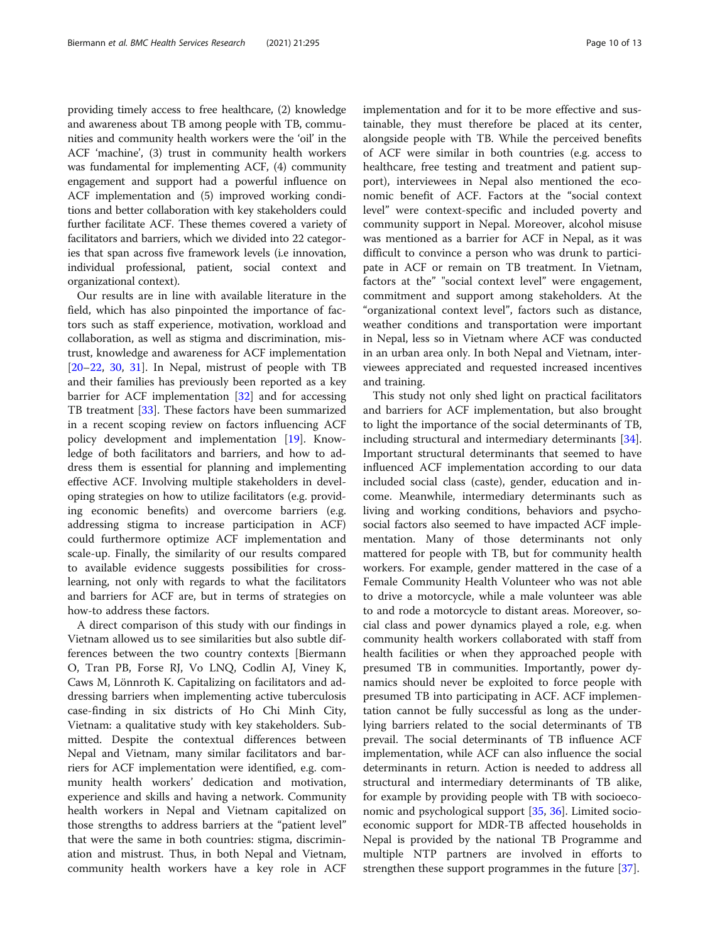providing timely access to free healthcare, (2) knowledge and awareness about TB among people with TB, communities and community health workers were the 'oil' in the ACF 'machine', (3) trust in community health workers was fundamental for implementing ACF, (4) community engagement and support had a powerful influence on ACF implementation and (5) improved working conditions and better collaboration with key stakeholders could further facilitate ACF. These themes covered a variety of facilitators and barriers, which we divided into 22 categories that span across five framework levels (i.e innovation, individual professional, patient, social context and organizational context).

Our results are in line with available literature in the field, which has also pinpointed the importance of factors such as staff experience, motivation, workload and collaboration, as well as stigma and discrimination, mistrust, knowledge and awareness for ACF implementation [[20](#page-11-0)–[22](#page-11-0), [30](#page-12-0), [31\]](#page-12-0). In Nepal, mistrust of people with TB and their families has previously been reported as a key barrier for ACF implementation [[32\]](#page-12-0) and for accessing TB treatment [[33\]](#page-12-0). These factors have been summarized in a recent scoping review on factors influencing ACF policy development and implementation [[19](#page-11-0)]. Knowledge of both facilitators and barriers, and how to address them is essential for planning and implementing effective ACF. Involving multiple stakeholders in developing strategies on how to utilize facilitators (e.g. providing economic benefits) and overcome barriers (e.g. addressing stigma to increase participation in ACF) could furthermore optimize ACF implementation and scale-up. Finally, the similarity of our results compared to available evidence suggests possibilities for crosslearning, not only with regards to what the facilitators and barriers for ACF are, but in terms of strategies on how-to address these factors.

A direct comparison of this study with our findings in Vietnam allowed us to see similarities but also subtle differences between the two country contexts [Biermann O, Tran PB, Forse RJ, Vo LNQ, Codlin AJ, Viney K, Caws M, Lönnroth K. Capitalizing on facilitators and addressing barriers when implementing active tuberculosis case-finding in six districts of Ho Chi Minh City, Vietnam: a qualitative study with key stakeholders. Submitted. Despite the contextual differences between Nepal and Vietnam, many similar facilitators and barriers for ACF implementation were identified, e.g. community health workers' dedication and motivation, experience and skills and having a network. Community health workers in Nepal and Vietnam capitalized on those strengths to address barriers at the "patient level" that were the same in both countries: stigma, discrimination and mistrust. Thus, in both Nepal and Vietnam, community health workers have a key role in ACF

implementation and for it to be more effective and sustainable, they must therefore be placed at its center, alongside people with TB. While the perceived benefits of ACF were similar in both countries (e.g. access to healthcare, free testing and treatment and patient support), interviewees in Nepal also mentioned the economic benefit of ACF. Factors at the "social context level" were context-specific and included poverty and community support in Nepal. Moreover, alcohol misuse was mentioned as a barrier for ACF in Nepal, as it was difficult to convince a person who was drunk to participate in ACF or remain on TB treatment. In Vietnam, factors at the" "social context level" were engagement, commitment and support among stakeholders. At the "organizational context level", factors such as distance, weather conditions and transportation were important in Nepal, less so in Vietnam where ACF was conducted in an urban area only. In both Nepal and Vietnam, interviewees appreciated and requested increased incentives

and training.

This study not only shed light on practical facilitators and barriers for ACF implementation, but also brought to light the importance of the social determinants of TB, including structural and intermediary determinants [\[34](#page-12-0)]. Important structural determinants that seemed to have influenced ACF implementation according to our data included social class (caste), gender, education and income. Meanwhile, intermediary determinants such as living and working conditions, behaviors and psychosocial factors also seemed to have impacted ACF implementation. Many of those determinants not only mattered for people with TB, but for community health workers. For example, gender mattered in the case of a Female Community Health Volunteer who was not able to drive a motorcycle, while a male volunteer was able to and rode a motorcycle to distant areas. Moreover, social class and power dynamics played a role, e.g. when community health workers collaborated with staff from health facilities or when they approached people with presumed TB in communities. Importantly, power dynamics should never be exploited to force people with presumed TB into participating in ACF. ACF implementation cannot be fully successful as long as the underlying barriers related to the social determinants of TB prevail. The social determinants of TB influence ACF implementation, while ACF can also influence the social determinants in return. Action is needed to address all structural and intermediary determinants of TB alike, for example by providing people with TB with socioeconomic and psychological support [\[35](#page-12-0), [36](#page-12-0)]. Limited socioeconomic support for MDR-TB affected households in Nepal is provided by the national TB Programme and multiple NTP partners are involved in efforts to strengthen these support programmes in the future [\[37](#page-12-0)].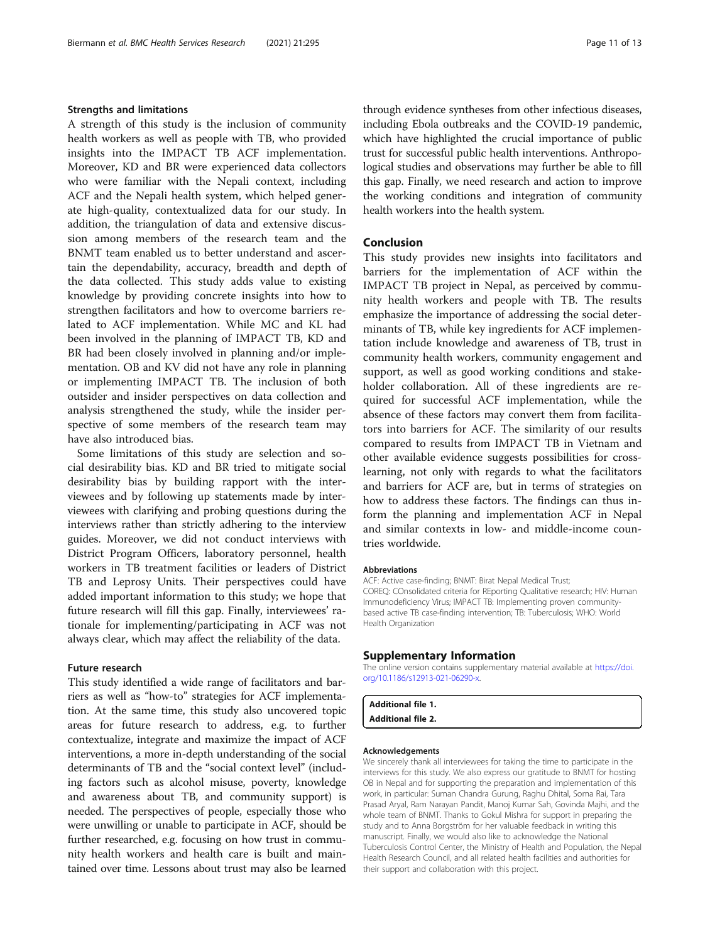### <span id="page-10-0"></span>Strengths and limitations

A strength of this study is the inclusion of community health workers as well as people with TB, who provided insights into the IMPACT TB ACF implementation. Moreover, KD and BR were experienced data collectors who were familiar with the Nepali context, including ACF and the Nepali health system, which helped generate high-quality, contextualized data for our study. In addition, the triangulation of data and extensive discussion among members of the research team and the BNMT team enabled us to better understand and ascertain the dependability, accuracy, breadth and depth of the data collected. This study adds value to existing knowledge by providing concrete insights into how to strengthen facilitators and how to overcome barriers related to ACF implementation. While MC and KL had been involved in the planning of IMPACT TB, KD and BR had been closely involved in planning and/or implementation. OB and KV did not have any role in planning or implementing IMPACT TB. The inclusion of both outsider and insider perspectives on data collection and analysis strengthened the study, while the insider perspective of some members of the research team may have also introduced bias.

Some limitations of this study are selection and social desirability bias. KD and BR tried to mitigate social desirability bias by building rapport with the interviewees and by following up statements made by interviewees with clarifying and probing questions during the interviews rather than strictly adhering to the interview guides. Moreover, we did not conduct interviews with District Program Officers, laboratory personnel, health workers in TB treatment facilities or leaders of District TB and Leprosy Units. Their perspectives could have added important information to this study; we hope that future research will fill this gap. Finally, interviewees' rationale for implementing/participating in ACF was not always clear, which may affect the reliability of the data.

### Future research

This study identified a wide range of facilitators and barriers as well as "how-to" strategies for ACF implementation. At the same time, this study also uncovered topic areas for future research to address, e.g. to further contextualize, integrate and maximize the impact of ACF interventions, a more in-depth understanding of the social determinants of TB and the "social context level" (including factors such as alcohol misuse, poverty, knowledge and awareness about TB, and community support) is needed. The perspectives of people, especially those who were unwilling or unable to participate in ACF, should be further researched, e.g. focusing on how trust in community health workers and health care is built and maintained over time. Lessons about trust may also be learned

through evidence syntheses from other infectious diseases, including Ebola outbreaks and the COVID-19 pandemic, which have highlighted the crucial importance of public trust for successful public health interventions. Anthropological studies and observations may further be able to fill this gap. Finally, we need research and action to improve the working conditions and integration of community health workers into the health system.

# Conclusion

This study provides new insights into facilitators and barriers for the implementation of ACF within the IMPACT TB project in Nepal, as perceived by community health workers and people with TB. The results emphasize the importance of addressing the social determinants of TB, while key ingredients for ACF implementation include knowledge and awareness of TB, trust in community health workers, community engagement and support, as well as good working conditions and stakeholder collaboration. All of these ingredients are required for successful ACF implementation, while the absence of these factors may convert them from facilitators into barriers for ACF. The similarity of our results compared to results from IMPACT TB in Vietnam and other available evidence suggests possibilities for crosslearning, not only with regards to what the facilitators and barriers for ACF are, but in terms of strategies on how to address these factors. The findings can thus inform the planning and implementation ACF in Nepal and similar contexts in low- and middle-income countries worldwide.

### **Abbreviations**

ACF: Active case-finding; BNMT: Birat Nepal Medical Trust; COREQ: COnsolidated criteria for REporting Qualitative research; HIV: Human Immunodeficiency Virus; IMPACT TB: Implementing proven communitybased active TB case-finding intervention; TB: Tuberculosis; WHO: World Health Organization

### Supplementary Information

The online version contains supplementary material available at [https://doi.](https://doi.org/10.1186/s12913-021-06290-x) [org/10.1186/s12913-021-06290-x](https://doi.org/10.1186/s12913-021-06290-x).

# Additional file 1.

Additional file 2.

# Acknowledgements

We sincerely thank all interviewees for taking the time to participate in the interviews for this study. We also express our gratitude to BNMT for hosting OB in Nepal and for supporting the preparation and implementation of this work, in particular: Suman Chandra Gurung, Raghu Dhital, Soma Rai, Tara Prasad Aryal, Ram Narayan Pandit, Manoj Kumar Sah, Govinda Majhi, and the whole team of BNMT. Thanks to Gokul Mishra for support in preparing the study and to Anna Borgström for her valuable feedback in writing this manuscript. Finally, we would also like to acknowledge the National Tuberculosis Control Center, the Ministry of Health and Population, the Nepal Health Research Council, and all related health facilities and authorities for their support and collaboration with this project.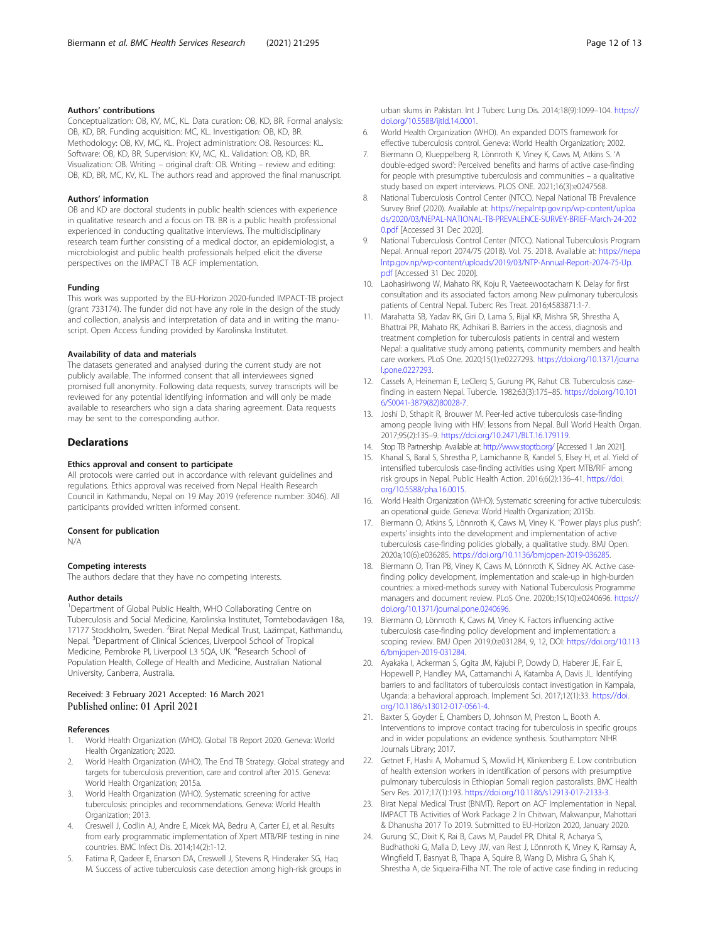## <span id="page-11-0"></span>Authors' contributions

Conceptualization: OB, KV, MC, KL. Data curation: OB, KD, BR. Formal analysis: OB, KD, BR. Funding acquisition: MC, KL. Investigation: OB, KD, BR. Methodology: OB, KV, MC, KL. Project administration: OB. Resources: KL. Software: OB, KD, BR. Supervision: KV, MC, KL. Validation: OB, KD, BR. Visualization: OB. Writing – original draft: OB. Writing – review and editing: OB, KD, BR, MC, KV, KL. The authors read and approved the final manuscript.

#### Authors' information

OB and KD are doctoral students in public health sciences with experience in qualitative research and a focus on TB. BR is a public health professional experienced in conducting qualitative interviews. The multidisciplinary research team further consisting of a medical doctor, an epidemiologist, a microbiologist and public health professionals helped elicit the diverse perspectives on the IMPACT TB ACF implementation.

#### Funding

This work was supported by the EU-Horizon 2020-funded IMPACT-TB project (grant 733174). The funder did not have any role in the design of the study and collection, analysis and interpretation of data and in writing the manuscript. Open Access funding provided by Karolinska Institutet.

#### Availability of data and materials

The datasets generated and analysed during the current study are not publicly available. The informed consent that all interviewees signed promised full anonymity. Following data requests, survey transcripts will be reviewed for any potential identifying information and will only be made available to researchers who sign a data sharing agreement. Data requests may be sent to the corresponding author.

### **Declarations**

#### Ethics approval and consent to participate

All protocols were carried out in accordance with relevant guidelines and regulations. Ethics approval was received from Nepal Health Research Council in Kathmandu, Nepal on 19 May 2019 (reference number: 3046). All participants provided written informed consent.

### Consent for publication

N/A

## Competing interests

The authors declare that they have no competing interests.

#### Author details

<sup>1</sup>Department of Global Public Health, WHO Collaborating Centre on Tuberculosis and Social Medicine, Karolinska Institutet, Tomtebodavägen 18a, 17177 Stockholm, Sweden. <sup>2</sup>Birat Nepal Medical Trust, Lazimpat, Kathmandu, Nepal. <sup>3</sup>Department of Clinical Sciences, Liverpool School of Tropical Medicine, Pembroke Pl, Liverpool L3 5QA, UK. <sup>4</sup>Research School of Population Health, College of Health and Medicine, Australian National University, Canberra, Australia.

## Received: 3 February 2021 Accepted: 16 March 2021 Published online: 01 April 2021

### References

- 1. World Health Organization (WHO). Global TB Report 2020. Geneva: World Health Organization; 2020.
- 2. World Health Organization (WHO). The End TB Strategy. Global strategy and targets for tuberculosis prevention, care and control after 2015. Geneva: World Health Organization; 2015a.
- 3. World Health Organization (WHO). Systematic screening for active tuberculosis: principles and recommendations. Geneva: World Health Organization; 2013.
- 4. Creswell J, Codlin AJ, Andre E, Micek MA, Bedru A, Carter EJ, et al. Results from early programmatic implementation of Xpert MTB/RIF testing in nine countries. BMC Infect Dis. 2014;14(2):1-12.
- 5. Fatima R, Qadeer E, Enarson DA, Creswell J, Stevens R, Hinderaker SG, Haq M. Success of active tuberculosis case detection among high-risk groups in

urban slums in Pakistan. Int J Tuberc Lung Dis. 2014;18(9):1099–104. [https://](https://doi.org/10.5588/ijtld.14.0001) [doi.org/10.5588/ijtld.14.0001.](https://doi.org/10.5588/ijtld.14.0001)

- 6. World Health Organization (WHO). An expanded DOTS framework for effective tuberculosis control. Geneva: World Health Organization; 2002.
- 7. Biermann O, Klueppelberg R, Lönnroth K, Viney K, Caws M, Atkins S. 'A double-edged sword': Perceived benefits and harms of active case-finding for people with presumptive tuberculosis and communities – a qualitative study based on expert interviews. PLOS ONE. 2021;16(3):e0247568.
- 8. National Tuberculosis Control Center (NTCC). Nepal National TB Prevalence Survey Brief (2020). Available at: [https://nepalntp.gov.np/wp-content/uploa](https://nepalntp.gov.np/wp-content/uploads/2020/03/NEPAL-NATIONAL-TB-PREVALENCE-SURVEY-BRIEF-March-24-2020.pdf) [ds/2020/03/NEPAL-NATIONAL-TB-PREVALENCE-SURVEY-BRIEF-March-24-202](https://nepalntp.gov.np/wp-content/uploads/2020/03/NEPAL-NATIONAL-TB-PREVALENCE-SURVEY-BRIEF-March-24-2020.pdf) [0.pdf](https://nepalntp.gov.np/wp-content/uploads/2020/03/NEPAL-NATIONAL-TB-PREVALENCE-SURVEY-BRIEF-March-24-2020.pdf) [Accessed 31 Dec 2020].
- 9. National Tuberculosis Control Center (NTCC). National Tuberculosis Program Nepal. Annual report 2074/75 (2018). Vol. 75. 2018. Available at: [https://nepa](https://nepalntp.gov.np/wp-content/uploads/2019/03/NTP-Annual-Report-2074-75-Up.pdf) [lntp.gov.np/wp-content/uploads/2019/03/NTP-Annual-Report-2074-75-Up.](https://nepalntp.gov.np/wp-content/uploads/2019/03/NTP-Annual-Report-2074-75-Up.pdf) [pdf](https://nepalntp.gov.np/wp-content/uploads/2019/03/NTP-Annual-Report-2074-75-Up.pdf) [Accessed 31 Dec 2020].
- 10. Laohasiriwong W, Mahato RK, Koju R, Vaeteewootacharn K. Delay for first consultation and its associated factors among New pulmonary tuberculosis patients of Central Nepal. Tuberc Res Treat. 2016;4583871:1-7.
- 11. Marahatta SB, Yadav RK, Giri D, Lama S, Rijal KR, Mishra SR, Shrestha A, Bhattrai PR, Mahato RK, Adhikari B. Barriers in the access, diagnosis and treatment completion for tuberculosis patients in central and western Nepal: a qualitative study among patients, community members and health care workers. PLoS One. 2020;15(1):e0227293. [https://doi.org/10.1371/journa](https://doi.org/10.1371/journal.pone.0227293) [l.pone.0227293](https://doi.org/10.1371/journal.pone.0227293).
- 12. Cassels A, Heineman E, LeClerq S, Gurung PK, Rahut CB. Tuberculosis casefinding in eastern Nepal. Tubercle. 1982;63(3):175–85. [https://doi.org/10.101](https://doi.org/10.1016/S0041-3879(82)80028-7) [6/S0041-3879\(82\)80028-7](https://doi.org/10.1016/S0041-3879(82)80028-7).
- 13. Joshi D, Sthapit R, Brouwer M. Peer-led active tuberculosis case-finding among people living with HIV: lessons from Nepal. Bull World Health Organ. 2017;95(2):135–9. <https://doi.org/10.2471/BLT.16.179119>.
- 14. Stop TB Partnership. Available at: <http://www.stoptb.org/> [Accessed 1 Jan 2021].
- 15. Khanal S, Baral S, Shrestha P, Lamichanne B, Kandel S, Elsey H, et al. Yield of intensified tuberculosis case-finding activities using Xpert MTB/RIF among risk groups in Nepal. Public Health Action. 2016;6(2):136–41. [https://doi.](https://doi.org/10.5588/pha.16.0015) [org/10.5588/pha.16.0015.](https://doi.org/10.5588/pha.16.0015)
- 16. World Health Organization (WHO). Systematic screening for active tuberculosis: an operational guide. Geneva: World Health Organization; 2015b.
- 17. Biermann O, Atkins S, Lönnroth K, Caws M, Viney K. "Power plays plus push": experts' insights into the development and implementation of active tuberculosis case-finding policies globally, a qualitative study. BMJ Open. 2020a;10(6):e036285. [https://doi.org/10.1136/bmjopen-2019-036285.](https://doi.org/10.1136/bmjopen-2019-036285)
- 18. Biermann O, Tran PB, Viney K, Caws M, Lönnroth K, Sidney AK. Active casefinding policy development, implementation and scale-up in high-burden countries: a mixed-methods survey with National Tuberculosis Programme managers and document review. PLoS One. 2020b;15(10):e0240696. [https://](https://doi.org/10.1371/journal.pone.0240696) [doi.org/10.1371/journal.pone.0240696.](https://doi.org/10.1371/journal.pone.0240696)
- 19. Biermann O, Lönnroth K, Caws M, Viney K. Factors influencing active tuberculosis case-finding policy development and implementation: a scoping review. BMJ Open 2019;0:e031284, 9, 12, DOI: [https://doi.org/10.113](https://doi.org/10.1136/bmjopen-2019-031284) [6/bmjopen-2019-031284.](https://doi.org/10.1136/bmjopen-2019-031284)
- 20. Ayakaka I, Ackerman S, Ggita JM, Kajubi P, Dowdy D, Haberer JE, Fair E, Hopewell P, Handley MA, Cattamanchi A, Katamba A, Davis JL. Identifying barriers to and facilitators of tuberculosis contact investigation in Kampala, Uganda: a behavioral approach. Implement Sci. 2017;12(1):33. [https://doi.](https://doi.org/10.1186/s13012-017-0561-4) [org/10.1186/s13012-017-0561-4](https://doi.org/10.1186/s13012-017-0561-4).
- 21. Baxter S, Goyder E, Chambers D, Johnson M, Preston L, Booth A. Interventions to improve contact tracing for tuberculosis in specific groups and in wider populations: an evidence synthesis. Southampton: NIHR Journals Library; 2017.
- 22. Getnet F, Hashi A, Mohamud S, Mowlid H, Klinkenberg E. Low contribution of health extension workers in identification of persons with presumptive pulmonary tuberculosis in Ethiopian Somali region pastoralists. BMC Health Serv Res. 2017;17(1):193. [https://doi.org/10.1186/s12913-017-2133-3.](https://doi.org/10.1186/s12913-017-2133-3)
- 23. Birat Nepal Medical Trust (BNMT). Report on ACF Implementation in Nepal. IMPACT TB Activities of Work Package 2 In Chitwan, Makwanpur, Mahottari & Dhanusha 2017 To 2019. Submitted to EU-Horizon 2020, January 2020.
- 24. Gurung SC, Dixit K, Rai B, Caws M, Paudel PR, Dhital R, Acharya S, Budhathoki G, Malla D, Levy JW, van Rest J, Lönnroth K, Viney K, Ramsay A, Wingfield T, Basnyat B, Thapa A, Squire B, Wang D, Mishra G, Shah K, Shrestha A, de Siqueira-Filha NT. The role of active case finding in reducing